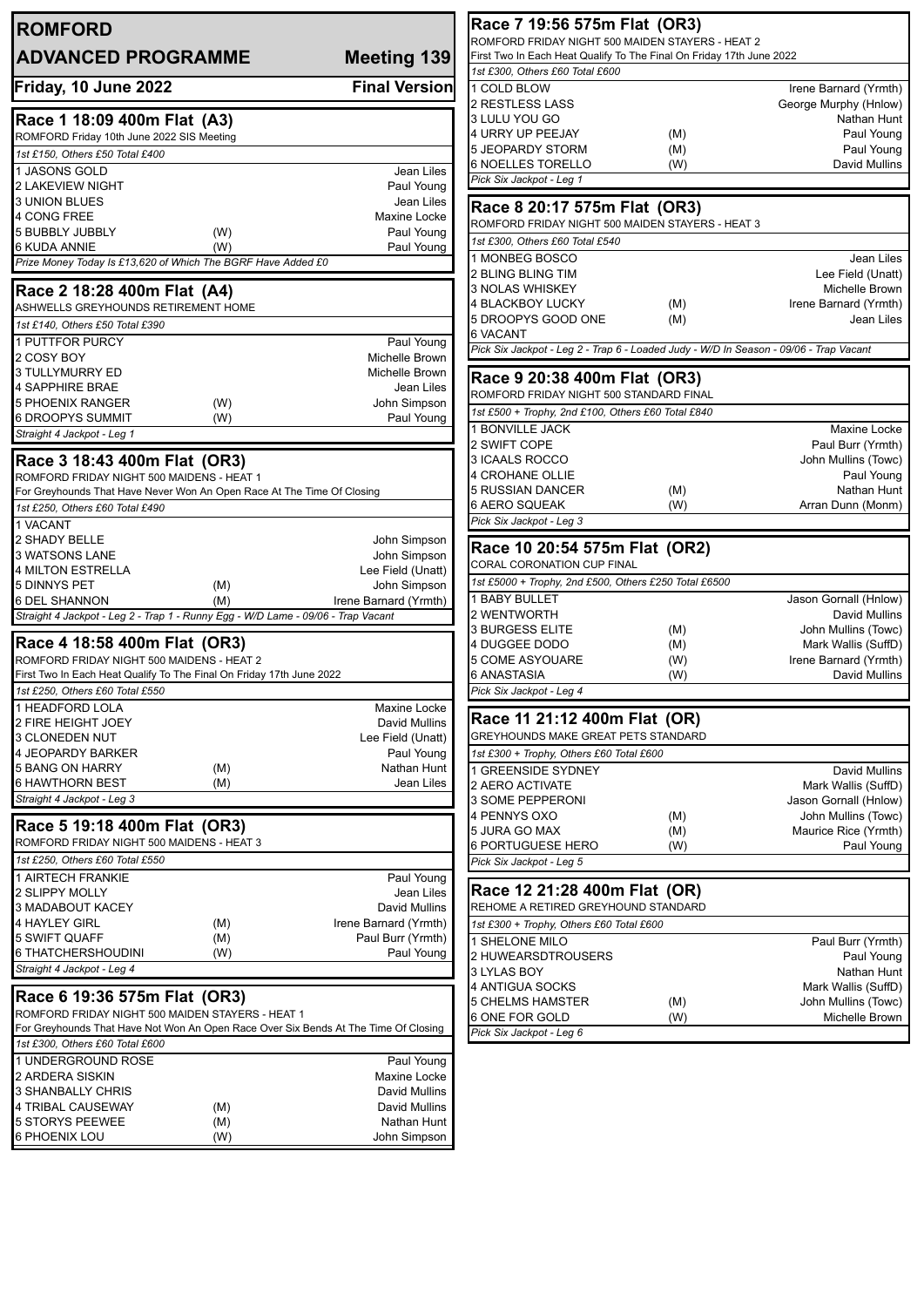| <b>ROMFORD</b>                                                                      |                                            | Race 7 19:56 575m Flat (OR3)                                                                                             |            |                                              |
|-------------------------------------------------------------------------------------|--------------------------------------------|--------------------------------------------------------------------------------------------------------------------------|------------|----------------------------------------------|
| <b>ADVANCED PROGRAMME</b>                                                           | <b>Meeting 139</b>                         | ROMFORD FRIDAY NIGHT 500 MAIDEN STAYERS - HEAT 2<br>First Two In Each Heat Qualify To The Final On Friday 17th June 2022 |            |                                              |
|                                                                                     |                                            | 1st £300, Others £60 Total £600                                                                                          |            |                                              |
| Friday, 10 June 2022                                                                | <b>Final Version</b>                       | 1 COLD BLOW                                                                                                              |            | Irene Barnard (Yrmth)                        |
|                                                                                     |                                            | 2 RESTLESS LASS                                                                                                          |            | George Murphy (Hnlow)                        |
| Race 1 18:09 400m Flat (A3)                                                         |                                            | 3 LULU YOU GO<br>4 URRY UP PEEJAY                                                                                        |            | Nathan Hunt<br>Paul Young                    |
| ROMFORD Friday 10th June 2022 SIS Meeting                                           |                                            | 5 JEOPARDY STORM                                                                                                         | (M)<br>(M) | Paul Young                                   |
| 1st £150, Others £50 Total £400                                                     |                                            | <b>6 NOELLES TORELLO</b>                                                                                                 | (W)        | David Mullins                                |
| 1 JASONS GOLD<br><b>2 LAKEVIEW NIGHT</b>                                            | Jean Liles<br>Paul Young                   | Pick Six Jackpot - Leg 1                                                                                                 |            |                                              |
| <b>3 UNION BLUES</b>                                                                | Jean Liles                                 |                                                                                                                          |            |                                              |
| 4 CONG FREE                                                                         | Maxine Locke                               | Race 8 20:17 575m Flat (OR3)                                                                                             |            |                                              |
| 5 BUBBLY JUBBLY<br>(W)                                                              | Paul Young                                 | ROMFORD FRIDAY NIGHT 500 MAIDEN STAYERS - HEAT 3                                                                         |            |                                              |
| <b>6 KUDA ANNIE</b><br>(W)                                                          | Paul Young                                 | 1st £300, Others £60 Total £540                                                                                          |            |                                              |
| Prize Money Today Is £13,620 of Which The BGRF Have Added £0                        |                                            | 1 MONBEG BOSCO<br>2 BLING BLING TIM                                                                                      |            | Jean Liles<br>Lee Field (Unatt)              |
| Race 2 18:28 400m Flat (A4)                                                         |                                            | <b>3 NOLAS WHISKEY</b>                                                                                                   |            | Michelle Brown                               |
| ASHWELLS GREYHOUNDS RETIREMENT HOME                                                 |                                            | 4 BLACKBOY LUCKY                                                                                                         | (M)        | Irene Barnard (Yrmth)                        |
| 1st £140, Others £50 Total £390                                                     |                                            | 5 DROOPYS GOOD ONE                                                                                                       | (M)        | Jean Liles                                   |
| 1 PUTTFOR PURCY                                                                     | Paul Young                                 | <b>6 VACANT</b>                                                                                                          |            |                                              |
| 2 COSY BOY                                                                          | Michelle Brown                             | Pick Six Jackpot - Leg 2 - Trap 6 - Loaded Judy - W/D In Season - 09/06 - Trap Vacant                                    |            |                                              |
| 3 TULLYMURRY ED                                                                     | Michelle Brown                             | Race 9 20:38 400m Flat (OR3)                                                                                             |            |                                              |
| <b>4 SAPPHIRE BRAE</b>                                                              | Jean Liles                                 | ROMFORD FRIDAY NIGHT 500 STANDARD FINAL                                                                                  |            |                                              |
| <b>5 PHOENIX RANGER</b><br>(W)                                                      | John Simpson                               | 1st £500 + Trophy, 2nd £100, Others £60 Total £840                                                                       |            |                                              |
| 6 DROOPYS SUMMIT<br>(W)                                                             | Paul Young                                 | 1 BONVILLE JACK                                                                                                          |            | Maxine Locke                                 |
| Straight 4 Jackpot - Leg 1                                                          |                                            | 2 SWIFT COPE                                                                                                             |            | Paul Burr (Yrmth)                            |
| Race 3 18:43 400m Flat (OR3)                                                        |                                            | 3 ICAALS ROCCO                                                                                                           |            | John Mullins (Towc)                          |
| ROMFORD FRIDAY NIGHT 500 MAIDENS - HEAT 1                                           |                                            | <b>4 CROHANE OLLIE</b>                                                                                                   |            | Paul Young                                   |
| For Greyhounds That Have Never Won An Open Race At The Time Of Closing              |                                            | 5 RUSSIAN DANCER                                                                                                         | (M)        | Nathan Hunt                                  |
| 1st £250, Others £60 Total £490                                                     |                                            | 6 AERO SQUEAK                                                                                                            | (W)        | Arran Dunn (Monm)                            |
| 1 VACANT                                                                            |                                            | Pick Six Jackpot - Leg 3                                                                                                 |            |                                              |
| 2 SHADY BELLE                                                                       | John Simpson                               | Race 10 20:54 575m Flat (OR2)                                                                                            |            |                                              |
| 3 WATSONS LANE<br>4 MILTON ESTRELLA                                                 | John Simpson<br>Lee Field (Unatt)          | CORAL CORONATION CUP FINAL                                                                                               |            |                                              |
| 5 DINNYS PET<br>(M)                                                                 | John Simpson                               | 1st £5000 + Trophy, 2nd £500, Others £250 Total £6500                                                                    |            |                                              |
| 6 DEL SHANNON<br>(M)                                                                | Irene Barnard (Yrmth)                      | <b>1 BABY BULLET</b>                                                                                                     |            | Jason Gornall (Hnlow)                        |
| Straight 4 Jackpot - Leg 2 - Trap 1 - Runny Egg - W/D Lame - 09/06 - Trap Vacant    |                                            | 2 WENTWORTH                                                                                                              |            | David Mullins                                |
|                                                                                     |                                            | <b>3 BURGESS ELITE</b>                                                                                                   | (M)        | John Mullins (Towc)                          |
| Race 4 18:58 400m Flat (OR3)<br>ROMFORD FRIDAY NIGHT 500 MAIDENS - HEAT 2           |                                            | 4 DUGGEE DODO<br>5 COME ASYOUARE                                                                                         | (M)        | Mark Wallis (SuffD)<br>Irene Barnard (Yrmth) |
| First Two In Each Heat Qualify To The Final On Friday 17th June 2022                |                                            | 6 ANASTASIA                                                                                                              | (W)<br>(W) | David Mullins                                |
| 1st £250. Others £60 Total £550                                                     |                                            | Pick Six Jackpot - Leg 4                                                                                                 |            |                                              |
| 1 HEADFORD LOLA                                                                     | Maxine Locke                               |                                                                                                                          |            |                                              |
| 2 FIRE HEIGHT JOEY                                                                  | David Mullins                              | Race 11 21:12 400m Flat (OR)                                                                                             |            |                                              |
| 3 CLONEDEN NUT                                                                      | Lee Field (Unatt)                          | GREYHOUNDS MAKE GREAT PETS STANDARD                                                                                      |            |                                              |
| 4 JEOPARDY BARKER                                                                   | Paul Young                                 | 1st £300 + Trophy, Others £60 Total £600                                                                                 |            |                                              |
| <b>5 BANG ON HARRY</b><br>(M)                                                       | Nathan Hunt<br>Jean Liles                  | 1 GREENSIDE SYDNEY                                                                                                       |            | David Mullins                                |
| <b>6 HAWTHORN BEST</b><br>(M)<br>Straight 4 Jackpot - Leg 3                         |                                            | 2 AERO ACTIVATE<br>3 SOME PEPPERONI                                                                                      |            | Mark Wallis (SuffD)                          |
|                                                                                     |                                            | 4 PENNYS OXO                                                                                                             | (M)        | Jason Gornall (Hnlow)<br>John Mullins (Towc) |
| Race 5 19:18 400m Flat (OR3)                                                        |                                            | 5 JURA GO MAX                                                                                                            | (M)        | Maurice Rice (Yrmth)                         |
| ROMFORD FRIDAY NIGHT 500 MAIDENS - HEAT 3                                           |                                            | <b>6 PORTUGUESE HERO</b>                                                                                                 | (W)        | Paul Young                                   |
| 1st £250, Others £60 Total £550                                                     |                                            | Pick Six Jackpot - Leg 5                                                                                                 |            |                                              |
| 1 AIRTECH FRANKIE                                                                   | Paul Young                                 |                                                                                                                          |            |                                              |
| 2 SLIPPY MOLLY                                                                      | Jean Liles                                 | Race 12 21:28 400m Flat (OR)                                                                                             |            |                                              |
| 3 MADABOUT KACEY                                                                    | David Mullins                              | REHOME A RETIRED GREYHOUND STANDARD                                                                                      |            |                                              |
| 4 HAYLEY GIRL<br>(M)<br>5 SWIFT QUAFF<br>(M)                                        | Irene Barnard (Yrmth)<br>Paul Burr (Yrmth) | 1st £300 + Trophy, Others £60 Total £600                                                                                 |            |                                              |
| 6 THATCHERSHOUDINI<br>(W)                                                           | Paul Young                                 | 1 SHELONE MILO                                                                                                           |            | Paul Burr (Yrmth)                            |
| Straight 4 Jackpot - Leg 4                                                          |                                            | 2 HUWEARSDTROUSERS<br>3 LYLAS BOY                                                                                        |            | Paul Young<br>Nathan Hunt                    |
|                                                                                     |                                            | 4 ANTIGUA SOCKS                                                                                                          |            | Mark Wallis (SuffD)                          |
| Race 6 19:36 575m Flat (OR3)                                                        |                                            | <b>5 CHELMS HAMSTER</b>                                                                                                  | (M)        | John Mullins (Towc)                          |
| ROMFORD FRIDAY NIGHT 500 MAIDEN STAYERS - HEAT 1                                    |                                            | 6 ONE FOR GOLD                                                                                                           | (W)        | Michelle Brown                               |
| For Greyhounds That Have Not Won An Open Race Over Six Bends At The Time Of Closing |                                            | Pick Six Jackpot - Leg 6                                                                                                 |            |                                              |
| 1st £300, Others £60 Total £600                                                     |                                            |                                                                                                                          |            |                                              |
| 1 UNDERGROUND ROSE                                                                  | Paul Young<br>Maxine Locke                 |                                                                                                                          |            |                                              |
| 2 ARDERA SISKIN<br>3 SHANBALLY CHRIS                                                | David Mullins                              |                                                                                                                          |            |                                              |
| 4 TRIBAL CAUSEWAY<br>(M)                                                            | David Mullins                              |                                                                                                                          |            |                                              |
| <b>5 STORYS PEEWEE</b><br>(M)                                                       | Nathan Hunt                                |                                                                                                                          |            |                                              |
| 6 PHOENIX LOU<br>(W)                                                                | John Simpson                               |                                                                                                                          |            |                                              |
|                                                                                     |                                            |                                                                                                                          |            |                                              |